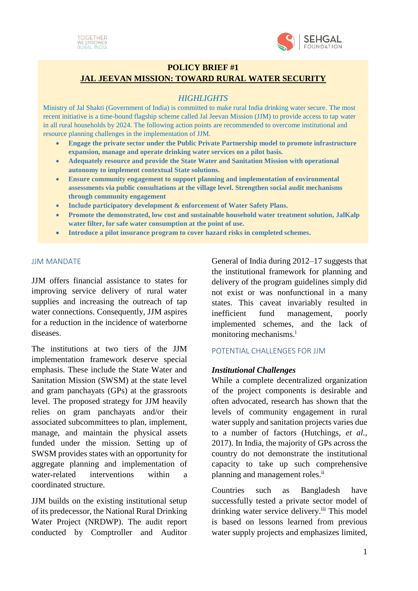



# **POLICY BRIEF #1 JAL JEEVAN MISSION: TOWARD RURAL WATER SECURITY**

## *HIGHLIGHTS*

Ministry of Jal Shakti (Government of India) is committed to make rural India drinking water secure. The most recent initiative is a time-bound flagship scheme called Jal Jeevan Mission (JJM) to provide access to tap water in all rural households by 2024. The following action points are recommended to overcome institutional and resource planning challenges in the implementation of JJM.

- **Engage the private sector under the Public Private Partnership model to promote infrastructure expansion, manage and operate drinking water services on a pilot basis.**
- **Adequately resource and provide the State Water and Sanitation Mission with operational autonomy to implement contextual State solutions.**
- **Ensure community engagement to support planning and implementation of environmental assessments via public consultations at the village level. Strengthen social audit mechanisms through community engagement**
- **Include participatory development & enforcement of Water Safety Plans.**
- **Promote the demonstrated, low cost and sustainable household water treatment solution, JalKalp water filter, for safe water consumption at the point of use.**
- **Introduce a pilot insurance program to cover hazard risks in completed schemes.**

#### JJM MANDATE

JJM offers financial assistance to states for improving service delivery of rural water supplies and increasing the outreach of tap water connections. Consequently, JJM aspires for a reduction in the incidence of waterborne diseases.

The institutions at two tiers of the JJM implementation framework deserve special emphasis. These include the State Water and Sanitation Mission (SWSM) at the state level and gram panchayats (GPs) at the grassroots level. The proposed strategy for JJM heavily relies on gram panchayats and/or their associated subcommittees to plan, implement, manage, and maintain the physical assets funded under the mission. Setting up of SWSM provides states with an opportunity for aggregate planning and implementation of water-related interventions within a coordinated structure.

JJM builds on the existing institutional setup of its predecessor, the National Rural Drinking Water Project (NRDWP). The audit report conducted by Comptroller and Auditor

General of India during 2012–17 suggests that the institutional framework for planning and delivery of the program guidelines simply did not exist or was nonfunctional in a many states. This caveat invariably resulted in inefficient fund management, poorly implemented schemes, and the lack of monitoring mechanisms.<sup>i</sup>

## POTENTIAL CHALLENGES FOR JJM

## *Institutional Challenges*

While a complete decentralized organization of the project components is desirable and often advocated, research has shown that the levels of community engagement in rural water supply and sanitation projects varies due to a number of factors (Hutchings, *et al.*, 2017). In India, the majority of GPs across the country do not demonstrate the institutional capacity to take up such comprehensive planning and management roles.<sup>ii</sup>

Countries such as Bangladesh have successfully tested a private sector model of drinking water service delivery.<sup>iii</sup> This model is based on lessons learned from previous water supply projects and emphasizes limited,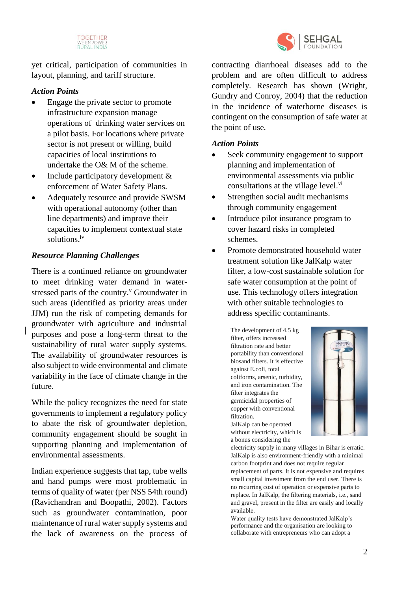

SEHGAL COUNDATION

yet critical, participation of communities in layout, planning, and tariff structure.

## *Action Points*

- Engage the private sector to promote infrastructure expansion manage operations of drinking water services on a pilot basis. For locations where private sector is not present or willing, build capacities of local institutions to undertake the O& M of the scheme.
- Include participatory development & enforcement of Water Safety Plans.
- Adequately resource and provide SWSM with operational autonomy (other than line departments) and improve their capacities to implement contextual state solutions.iv

## *Resource Planning Challenges*

There is a continued reliance on groundwater to meet drinking water demand in waterstressed parts of the country.<sup>v</sup> Groundwater in such areas (identified as priority areas under JJM) run the risk of competing demands for groundwater with agriculture and industrial purposes and pose a long-term threat to the sustainability of rural water supply systems. The availability of groundwater resources is also subject to wide environmental and climate variability in the face of climate change in the future.

While the policy recognizes the need for state governments to implement a regulatory policy to abate the risk of groundwater depletion, community engagement should be sought in supporting planning and implementation of environmental assessments.

Indian experience suggests that tap, tube wells and hand pumps were most problematic in terms of quality of water (per NSS 54th round) (Ravichandran and Boopathi, 2002). Factors such as groundwater contamination, poor maintenance of rural water supply systems and the lack of awareness on the process of

contracting diarrhoeal diseases add to the problem and are often difficult to address completely. Research has shown (Wright, Gundry and Conroy, 2004) that the reduction in the incidence of waterborne diseases is contingent on the consumption of safe water at the point of use.

## *Action Points*

- Seek community engagement to support planning and implementation of environmental assessments via public consultations at the village level.<sup>vi</sup>
- Strengthen social audit mechanisms through community engagement
- Introduce pilot insurance program to cover hazard risks in completed schemes.
- Promote demonstrated household water treatment solution like JalKalp water filter, a low-cost sustainable solution for safe water consumption at the point of use. This technology offers integration with other suitable technologies to address specific contaminants.

The development of 4.5 kg filter, offers increased filtration rate and better portability than conventional biosand filters. It is effective against E.coli, total coliforms, arsenic, turbidity, and iron contamination. The filter integrates the germicidal properties of copper with conventional filtration.

JalKalp can be operated without electricity, which is a bonus considering the



electricity supply in many villages in Bihar is erratic. JalKalp is also environment-friendly with a minimal carbon footprint and does not require regular replacement of parts. It is not expensive and requires small capital investment from the end user. There is no recurring cost of operation or expensive parts to replace. In JalKalp, the filtering materials, i.e., sand and gravel, present in the filter are easily and locally available.

Water quality tests have demonstrated JalKalp's performance and the organisation are looking to collaborate with entrepreneurs who can adopt a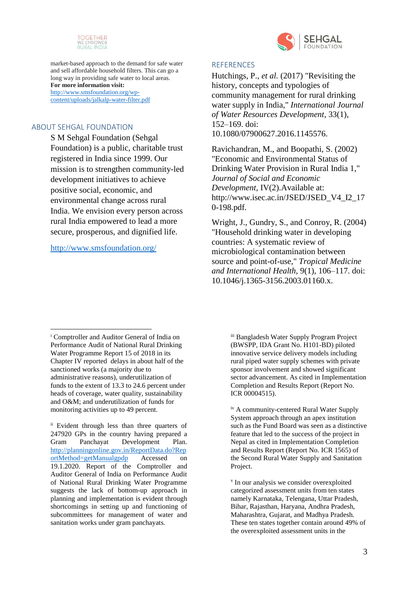



market-based approach to the demand for safe water and sell affordable household filters. This can go a long way in providing safe water to local areas. **For more information visit:** [http://www.smsfoundation.org/wp](http://www.smsfoundation.org/wp-content/uploads/jalkalp-water-filter.pdf)[content/uploads/jalkalp-water-filter.pdf](http://www.smsfoundation.org/wp-content/uploads/jalkalp-water-filter.pdf)

## ABOUT SEHGAL FOUNDATION

S M Sehgal Foundation (Sehgal Foundation) is a public, charitable trust registered in India since 1999. Our mission is to strengthen community-led development initiatives to achieve positive social, economic, and environmental change across rural India. We envision every person across rural India empowered to lead a more secure, prosperous, and dignified life.

#### <http://www.smsfoundation.org/>

#### **REFERENCES**

Hutchings, P., *et al.* (2017) "Revisiting the history, concepts and typologies of community management for rural drinking water supply in India," *International Journal of Water Resources Development*, 33(1), 152–169. doi: 10.1080/07900627.2016.1145576.

Ravichandran, M., and Boopathi, S. (2002) "Economic and Environmental Status of Drinking Water Provision in Rural India 1," *Journal of Social and Economic Development*, IV(2).Available at: http://www.isec.ac.in/JSED/JSED\_V4\_I2\_17 0-198.pdf.

Wright, J., Gundry, S., and Conroy, R. (2004) "Household drinking water in developing countries: A systematic review of microbiological contamination between source and point-of-use," *Tropical Medicine and International Health*, 9(1), 106–117. doi: 10.1046/j.1365-3156.2003.01160.x.

iii Bangladesh Water Supply Program Project (BWSPP, IDA Grant No. H101-BD) piloted innovative service delivery models including rural piped water supply schemes with private sponsor involvement and showed significant sector advancement. As cited in Implementation Completion and Results Report (Report No. ICR 00004515).

<sup>i</sup> Comptroller and Auditor General of India on Performance Audit of National Rural Drinking Water Programme Report 15 of 2018 in its Chapter IV reported delays in about half of the sanctioned works (a majority due to administrative reasons), underutilization of funds to the extent of 13.3 to 24.6 percent under heads of coverage, water quality, sustainability and O&M; and underutilization of funds for monitoring activities up to 49 percent. <u>.</u>

ii Evident through less than three quarters of 247920 GPs in the country having prepared a Gram Panchayat Development Plan. [http://planningonline.gov.in/ReportData.do?Rep](http://planningonline.gov.in/ReportData.do?ReportMethod=getManualgpdp) [ortMethod=getManualgpdp](http://planningonline.gov.in/ReportData.do?ReportMethod=getManualgpdp) Accessed on 19.1.2020. Report of the Comptroller and Auditor General of India on Performance Audit of National Rural Drinking Water Programme suggests the lack of bottom-up approach in planning and implementation is evident through shortcomings in setting up and functioning of subcommittees for management of water and sanitation works under gram panchayats.

iv A community-centered Rural Water Supply System approach through an apex institution such as the Fund Board was seen as a distinctive feature that led to the success of the project in Nepal as cited in Implementation Completion and Results Report (Report No. ICR 1565) of the Second Rural Water Supply and Sanitation Project.

v In our analysis we consider overexploited categorized assessment units from ten states namely Karnataka, Telengana, Uttar Pradesh, Bihar, Rajasthan, Haryana, Andhra Pradesh, Maharashtra, Gujarat, and Madhya Pradesh. These ten states together contain around 49% of the overexploited assessment units in the